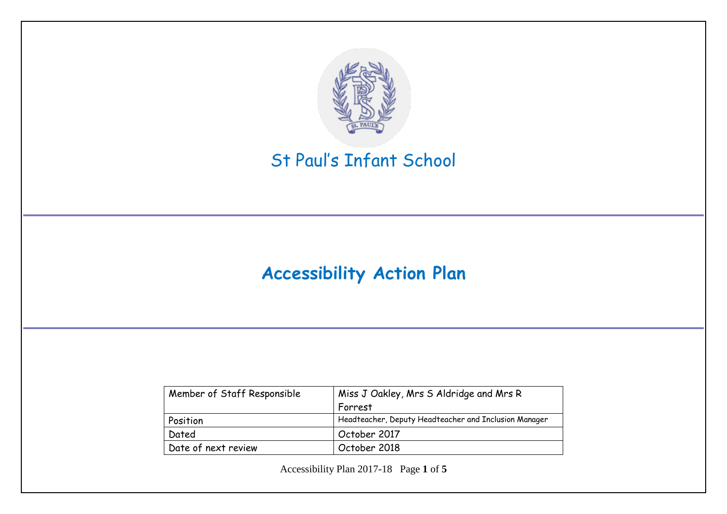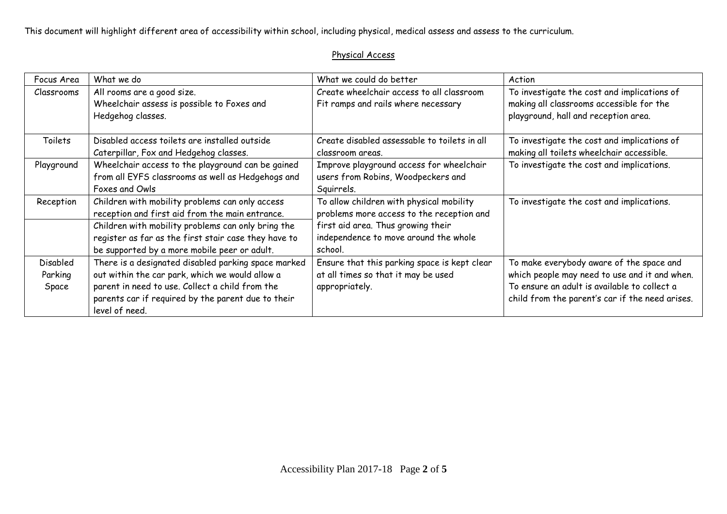This document will highlight different area of accessibility within school, including physical, medical assess and assess to the curriculum.

## Physical Access

| Focus Area                          | What we do                                                                                                                                                                                                                        | What we could do better                                                                               | Action                                                                                                                                                                                       |
|-------------------------------------|-----------------------------------------------------------------------------------------------------------------------------------------------------------------------------------------------------------------------------------|-------------------------------------------------------------------------------------------------------|----------------------------------------------------------------------------------------------------------------------------------------------------------------------------------------------|
| Classrooms                          | All rooms are a good size.<br>Wheelchair assess is possible to Foxes and<br>Hedgehog classes.                                                                                                                                     | Create wheelchair access to all classroom<br>Fit ramps and rails where necessary                      | To investigate the cost and implications of<br>making all classrooms accessible for the<br>playground, hall and reception area.                                                              |
| Toilets                             | Disabled access toilets are installed outside<br>Caterpillar, Fox and Hedgehog classes.                                                                                                                                           | Create disabled assessable to toilets in all<br>classroom areas.                                      | To investigate the cost and implications of<br>making all toilets wheelchair accessible.                                                                                                     |
| Playground                          | Wheelchair access to the playground can be gained<br>from all EYFS classrooms as well as Hedgehogs and<br>Foxes and Owls                                                                                                          | Improve playground access for wheelchair<br>users from Robins, Woodpeckers and<br>Squirrels.          | To investigate the cost and implications.                                                                                                                                                    |
| Reception                           | Children with mobility problems can only access<br>reception and first aid from the main entrance.                                                                                                                                | To allow children with physical mobility<br>problems more access to the reception and                 | To investigate the cost and implications.                                                                                                                                                    |
|                                     | Children with mobility problems can only bring the<br>register as far as the first stair case they have to<br>be supported by a more mobile peer or adult.                                                                        | first aid area. Thus growing their<br>independence to move around the whole<br>school.                |                                                                                                                                                                                              |
| <b>Disabled</b><br>Parking<br>Space | There is a designated disabled parking space marked<br>out within the car park, which we would allow a<br>parent in need to use. Collect a child from the<br>parents car if required by the parent due to their<br>level of need. | Ensure that this parking space is kept clear<br>at all times so that it may be used<br>appropriately. | To make everybody aware of the space and<br>which people may need to use and it and when.<br>To ensure an adult is available to collect a<br>child from the parent's car if the need arises. |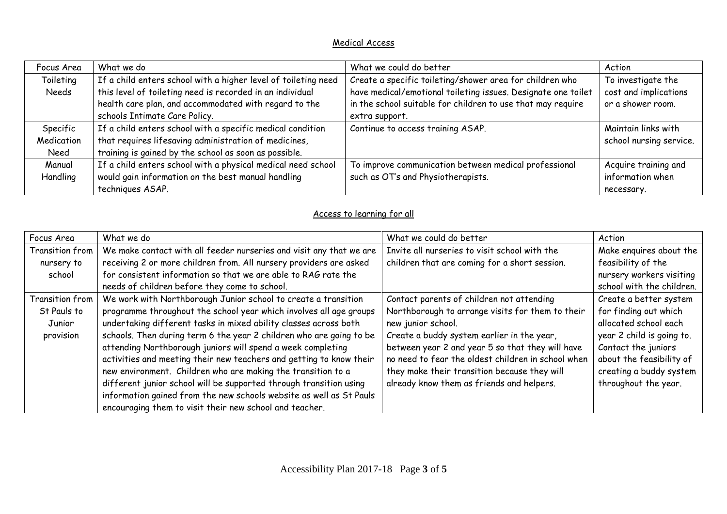## Medical Access

| Focus Area | What we do                                                     | What we could do better                                       | Action                  |
|------------|----------------------------------------------------------------|---------------------------------------------------------------|-------------------------|
| Toileting  | If a child enters school with a higher level of toileting need | Create a specific toileting/shower area for children who      | To investigate the      |
| Needs      | this level of toileting need is recorded in an individual      | have medical/emotional toileting issues. Designate one toilet | cost and implications   |
|            | health care plan, and accommodated with regard to the          | in the school suitable for children to use that may require   | or a shower room.       |
|            | schools Intimate Care Policy.                                  | extra support.                                                |                         |
| Specific   | If a child enters school with a specific medical condition     | Continue to access training ASAP.                             | Maintain links with     |
| Medication | that requires lifesaving administration of medicines,          |                                                               | school nursing service. |
| Need       | training is gained by the school as soon as possible.          |                                                               |                         |
| Manual     | If a child enters school with a physical medical need school   | To improve communication between medical professional         | Acquire training and    |
| Handling   | would gain information on the best manual handling             | such as OT's and Physiotherapists.                            | information when        |
|            | techniques ASAP.                                               |                                                               | necessary.              |

## Access to learning for all

| Focus Area      | What we do                                                          | What we could do better                            | Action                    |
|-----------------|---------------------------------------------------------------------|----------------------------------------------------|---------------------------|
| Transition from | We make contact with all feeder nurseries and visit any that we are | Invite all nurseries to visit school with the      | Make enguires about the   |
| nursery to      | receiving 2 or more children from. All nursery providers are asked  | children that are coming for a short session.      | feasibility of the        |
| school          | for consistent information so that we are able to RAG rate the      |                                                    | nursery workers visiting  |
|                 | needs of children before they come to school.                       |                                                    | school with the children. |
| Transition from | We work with Northborough Junior school to create a transition      | Contact parents of children not attending          | Create a better system    |
| St Pauls to     | programme throughout the school year which involves all age groups  | Northborough to arrange visits for them to their   | for finding out which     |
| Junior          | undertaking different tasks in mixed ability classes across both    | new junior school.                                 | allocated school each     |
| provision       | schools. Then during term 6 the year 2 children who are going to be | Create a buddy system earlier in the year,         | year 2 child is going to. |
|                 | attending Northborough juniors will spend a week completing         | between year 2 and year 5 so that they will have   | Contact the juniors       |
|                 | activities and meeting their new teachers and getting to know their | no need to fear the oldest children in school when | about the feasibility of  |
|                 | new environment. Children who are making the transition to a        | they make their transition because they will       | creating a buddy system   |
|                 | different junior school will be supported through transition using  | already know them as friends and helpers.          | throughout the year.      |
|                 | information gained from the new schools website as well as St Pauls |                                                    |                           |
|                 | encouraging them to visit their new school and teacher.             |                                                    |                           |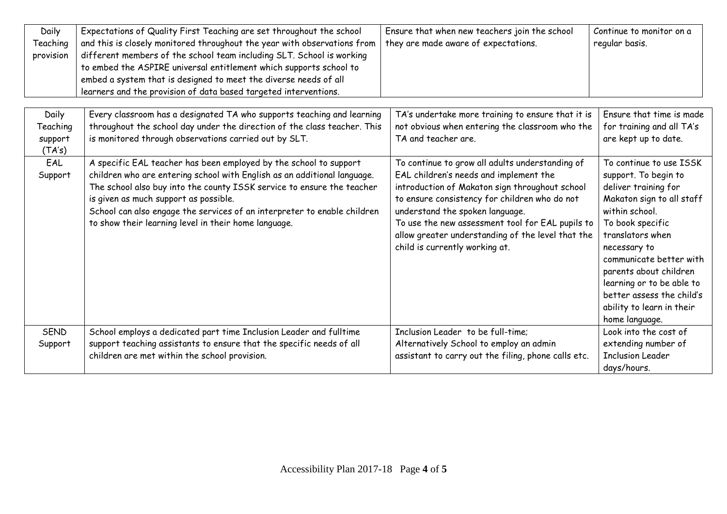| Daily<br>Teaching<br>provision         | Expectations of Quality First Teaching are set throughout the school<br>and this is closely monitored throughout the year with observations from<br>different members of the school team including SLT. School is working<br>to embed the ASPIRE universal entitlement which supports school to<br>embed a system that is designed to meet the diverse needs of all<br>learners and the provision of data based targeted interventions. | Ensure that when new teachers join the school<br>they are made aware of expectations.                                                                                                                                                                                                                                                                                      | Continue to monitor on a<br>regular basis.                                                                                                                                                                                                                                                                                                   |
|----------------------------------------|-----------------------------------------------------------------------------------------------------------------------------------------------------------------------------------------------------------------------------------------------------------------------------------------------------------------------------------------------------------------------------------------------------------------------------------------|----------------------------------------------------------------------------------------------------------------------------------------------------------------------------------------------------------------------------------------------------------------------------------------------------------------------------------------------------------------------------|----------------------------------------------------------------------------------------------------------------------------------------------------------------------------------------------------------------------------------------------------------------------------------------------------------------------------------------------|
| Daily<br>Teaching<br>support<br>(TA's) | Every classroom has a designated TA who supports teaching and learning<br>throughout the school day under the direction of the class teacher. This<br>is monitored through observations carried out by SLT.                                                                                                                                                                                                                             | TA's undertake more training to ensure that it is<br>not obvious when entering the classroom who the<br>TA and teacher are.                                                                                                                                                                                                                                                | Ensure that time is made<br>for training and all TA's<br>are kept up to date.                                                                                                                                                                                                                                                                |
| EAL<br>Support                         | A specific EAL teacher has been employed by the school to support<br>children who are entering school with English as an additional language.<br>The school also buy into the county ISSK service to ensure the teacher<br>is given as much support as possible.<br>School can also engage the services of an interpreter to enable children<br>to show their learning level in their home language.                                    | To continue to grow all adults understanding of<br>EAL children's needs and implement the<br>introduction of Makaton sign throughout school<br>to ensure consistency for children who do not<br>understand the spoken language.<br>To use the new assessment tool for EAL pupils to<br>allow greater understanding of the level that the<br>child is currently working at. | To continue to use ISSK<br>support. To begin to<br>deliver training for<br>Makaton sign to all staff<br>within school.<br>To book specific<br>translators when<br>necessary to<br>communicate better with<br>parents about children<br>learning or to be able to<br>better assess the child's<br>ability to learn in their<br>home language. |
| <b>SEND</b><br>Support                 | School employs a dedicated part time Inclusion Leader and fulltime<br>support teaching assistants to ensure that the specific needs of all<br>children are met within the school provision.                                                                                                                                                                                                                                             | Inclusion Leader to be full-time;<br>Alternatively School to employ an admin<br>assistant to carry out the filing, phone calls etc.                                                                                                                                                                                                                                        | Look into the cost of<br>extending number of<br><b>Inclusion Leader</b><br>days/hours.                                                                                                                                                                                                                                                       |